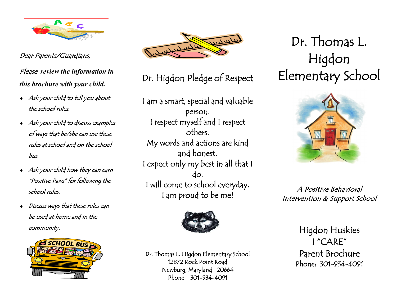

Dear Parents/Guardians,

Please *review the information in this brochure with your child.*

- Ask your child to tell you about the school rules.
- Ask your child to discuss examples of ways that he/she can use these rules at school and on the school bus.
- Ask your child how they can earn "Positive Paws" for following the school rules.
- Discuss ways that these rules can be used at home and in the community.





### Dr. Higdon Pledge of Respect

I am a smart, special and valuable person. I respect myself and I respect others. My words and actions are kind and honest. I expect only my best in all that I do. I will come to school everyday. I am proud to be me!



Dr. Thomas L. Higdon Elementary School 12872 Rock Point Road Newburg, Maryland 20664 Phone: 301-934-4091

# Dr. Thomas L. Higdon Elementary School



A Positive Behavioral Intervention & Support School

> Higdon Huskies I "CARE" Parent Brochure Phone: 301-934-4091